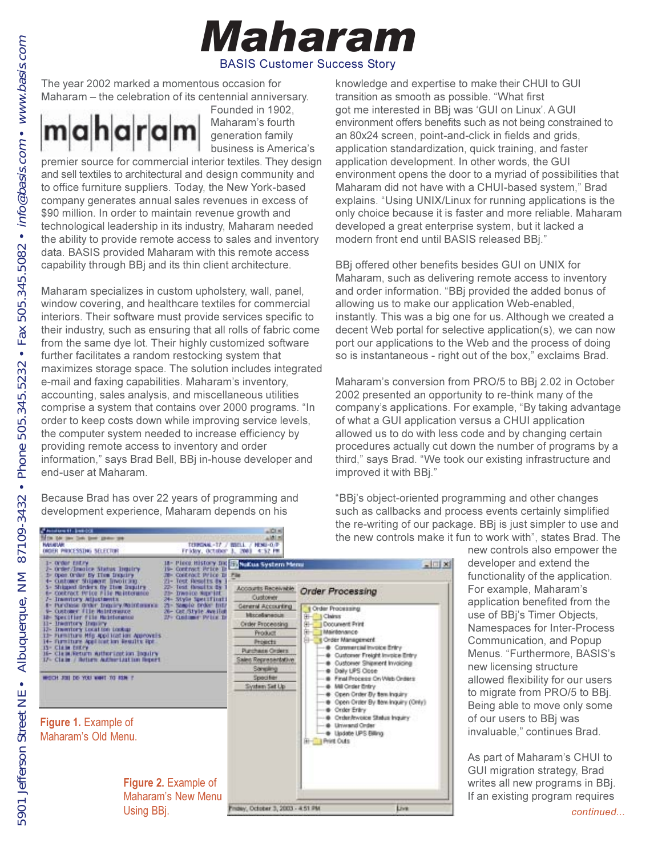

 $P$  Asiatoru 11. (1991)  $01$ 



The year 2002 marked a momentous occasion for Maharam – the celebration of its centennial anniversary.



Founded in 1902, Maharam's fourth generation family business is America's

premier source for commercial interior textiles. They design and sell textiles to architectural and design community and to office furniture suppliers. Today, the New York-based company generates annual sales revenues in excess of \$90 million. In order to maintain revenue growth and technological leadership in its industry, Maharam needed the ability to provide remote access to sales and inventory data. BASIS provided Maharam with this remote access capability through BBj and its thin client architecture.

Maharam specializes in custom upholstery, wall, panel, window covering, and healthcare textiles for commercial interiors. Their software must provide services specific to their industry, such as ensuring that all rolls of fabric come from the same dye lot. Their highly customized software further facilitates a random restocking system that maximizes storage space. The solution includes integrated e-mail and faxing capabilities. Maharam's inventory, accounting, sales analysis, and miscellaneous utilities comprise a system that contains over 2000 programs. "In order to keep costs down while improving service levels, the computer system needed to increase efficiency by providing remote access to inventory and order information," says Brad Bell, BBj in-house developer and end-user at Maharam.

Because Brad has over 22 years of programming and development experience, Maharam depends on his

knowledge and expertise to make their CHUI to GUI transition as smooth as possible. "What first got me interested in BBj was 'GUI on Linux'. A GUI environment offers benefits such as not being constrained to an 80x24 screen, point-and-click in fields and grids, application standardization, quick training, and faster application development. In other words, the GUI environment opens the door to a myriad of possibilities that Maharam did not have with a CHUI-based system," Brad explains. "Using UNIX/Linux for running applications is the only choice because it is faster and more reliable. Maharam developed a great enterprise system, but it lacked a modern front end until BASIS released BBj."

BBj offered other benefits besides GUI on UNIX for Maharam, such as delivering remote access to inventory and order information. "BBj provided the added bonus of allowing us to make our application Web-enabled, instantly. This was a big one for us. Although we created a decent Web portal for selective application(s), we can now port our applications to the Web and the process of doing so is instantaneous - right out of the box," exclaims Brad.

Maharam's conversion from PRO/5 to BBi 2.02 in October 2002 presented an opportunity to re-think many of the company's applications. For example, "By taking advantage of what a GUI application versus a CHUI application allowed us to do with less code and by changing certain procedures actually cut down the number of programs by a third," says Brad. "We took our existing infrastructure and improved it with BBj."

"BBi's object-oriented programming and other changes such as callbacks and process events certainly simplified the re-writing of our package. BBi is just simpler to use and the new controls make it fun to work with", states Brad. The

> new controls also empower the developer and extend the functionality of the application. For example, Maharam's application benefited from the use of BBi's Timer Objects, Namespaces for Inter-Process Communication, and Popup Menus. "Furthermore, BASIS's new licensing structure allowed flexibility for our users to migrate from PRO/5 to BB. Being able to move only some of our users to BBj was invaluable," continues Brad.

> As part of Maharam's CHUI to GUI migration strategy, Brad writes all new programs in BBj. If an existing program requires

| DROER PROCESSING SELECTOR<br>1- Order Entry<br>2- Order/Imaics Status Instity<br>1- Open Order by Tiem Inquiry                                                                                                                                                                                                                                                                                                                                                                                                                                     | Friday, October<br>18- Piece History Inc.<br>19- Contract Price Tr<br>70 Controll Price In                                                                                | <b>THE 1</b><br>4.37 PM<br>$=$ $\Box$ $\infty$<br><b>Ell Nuttus System Memi</b><br><b>Plu</b>                                                                                                                                    |                                                                                                                                                                                                                                                                                                                                                                                                                                          |
|----------------------------------------------------------------------------------------------------------------------------------------------------------------------------------------------------------------------------------------------------------------------------------------------------------------------------------------------------------------------------------------------------------------------------------------------------------------------------------------------------------------------------------------------------|---------------------------------------------------------------------------------------------------------------------------------------------------------------------------|----------------------------------------------------------------------------------------------------------------------------------------------------------------------------------------------------------------------------------|------------------------------------------------------------------------------------------------------------------------------------------------------------------------------------------------------------------------------------------------------------------------------------------------------------------------------------------------------------------------------------------------------------------------------------------|
| 4- Customer Shipman Invoicing<br>5- Shipped Orders by The Deputry<br>6- CORTACT PEICE PILE PRINTONING<br>7- Insertory Adjustments<br>1- Purchase Groke Inquiry Wainfirem<br>5- Customer File Maintenance<br>18- Specifier file Meinlotance<br>11- Instituty Insury<br>12- Inventory Local too Lockias<br>11- Furniture Hfg Application Approvels<br>14- Furniture Application Results Rpt<br><b>13- Claim Entry</b><br>16- Class Return Authorizet for Inquiry<br>17- Claim / Bettern Authorization Beport<br>IN WORLD COLLEGE WAS LIKE FOR HER PL | ZI- Test Results #s<br>22- Test (boults 2s)<br>25-Trw6910-Wayn10E<br>24- Style Specificati<br>21- Staple brder total<br>20 - CBE/Style Ave Hat<br>22 - Collinst: Print D. | <b>Accounts Receivable</b><br>Custower<br>General Accounting<br>Mondanesca<br><b>Criter Processing</b><br><b>Product</b><br>Projects<br><b>Purchase Orders</b><br>Sales Representative<br>Songarig<br>Specifier<br>System Set Up | Order Processing<br><b>I</b> Order Processing<br><b>Bi-l</b><br><b>Il Claims</b><br>  Document Print<br>I Maintenance<br>Il Cristin Management<br>Commercial Invoice Entry<br>Customer Freight Invoice Entry<br>Customer Shipment Invoicing<br>Daily UPS Occe<br>Final Process On Web Orders<br>Mill Order Entry<br>Open Onter By Saw Inquiry<br>Open Onler By ten Inquiry (Only)<br><b>Croler Entry</b><br>Order/Invoice Status Inquiry |
| <b>Figure 1. Example of</b><br>Maharam's Old Menu.                                                                                                                                                                                                                                                                                                                                                                                                                                                                                                 |                                                                                                                                                                           |                                                                                                                                                                                                                                  | <b>&amp;</b> Unwand Order<br>C Lindate LPS Billing<br><b>Hi- I Print Cuts</b>                                                                                                                                                                                                                                                                                                                                                            |
| Using BBj.                                                                                                                                                                                                                                                                                                                                                                                                                                                                                                                                         | <b>Figure 2. Example of</b><br>Maharam's New Menu                                                                                                                         | hday, October 3, 2003 - 4:51 PM                                                                                                                                                                                                  | Live                                                                                                                                                                                                                                                                                                                                                                                                                                     |

 $-1018$